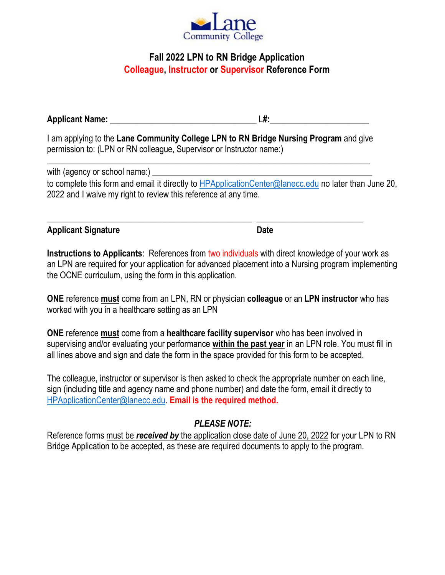

## **Fall 2022 LPN to RN Bridge Application Colleague, Instructor or Supervisor Reference Form**

**Applicant Name:** \_\_\_\_\_\_\_\_\_\_\_\_\_\_\_\_\_\_\_\_\_\_\_\_\_\_\_\_\_\_\_\_\_\_ L**#:**\_\_\_\_\_\_\_\_\_\_\_\_\_\_\_\_\_\_\_\_\_\_\_

I am applying to the **Lane Community College LPN to RN Bridge Nursing Program** and give permission to: (LPN or RN colleague, Supervisor or Instructor name:)

\_\_\_\_\_\_\_\_\_\_\_\_\_\_\_\_\_\_\_\_\_\_\_\_\_\_\_\_\_\_\_\_\_\_\_\_\_\_\_\_\_\_\_\_\_\_\_\_ \_\_\_\_\_\_\_\_\_\_\_\_\_\_\_\_\_\_\_\_\_\_\_\_\_

\_\_\_\_\_\_\_\_\_\_\_\_\_\_\_\_\_\_\_\_\_\_\_\_\_\_\_\_\_\_\_\_\_\_\_\_\_\_\_\_\_\_\_\_\_\_\_\_\_\_\_\_\_\_\_\_\_\_\_\_\_\_\_\_\_\_\_\_\_\_\_\_\_\_\_ with (agency or school name:) to complete this form and email it directly to [HPApplicationCenter@lanecc.edu](mailto:HPApplicationCenter@lanecc.edu) no later than June 20, 2022 and I waive my right to review this reference at any time.

| <b>Applicant Signature</b> | Date |
|----------------------------|------|
|                            |      |

**Instructions to Applicants**: References from two individuals with direct knowledge of your work as an LPN are required for your application for advanced placement into a Nursing program implementing the OCNE curriculum, using the form in this application.

**ONE** reference **must** come from an LPN, RN or physician **colleague** or an **LPN instructor** who has worked with you in a healthcare setting as an LPN

**ONE** reference **must** come from a **healthcare facility supervisor** who has been involved in supervising and/or evaluating your performance **within the past year** in an LPN role. You must fill in all lines above and sign and date the form in the space provided for this form to be accepted.

The colleague, instructor or supervisor is then asked to check the appropriate number on each line, sign (including title and agency name and phone number) and date the form, email it directly to [HPApplicationCenter@lanecc.edu.](mailto:HPApplicationCenter@lanecc.edu) **Email is the required method.**

## *PLEASE NOTE:*

Reference forms must be *received by* the application close date of June 20, 2022 for your LPN to RN Bridge Application to be accepted, as these are required documents to apply to the program.